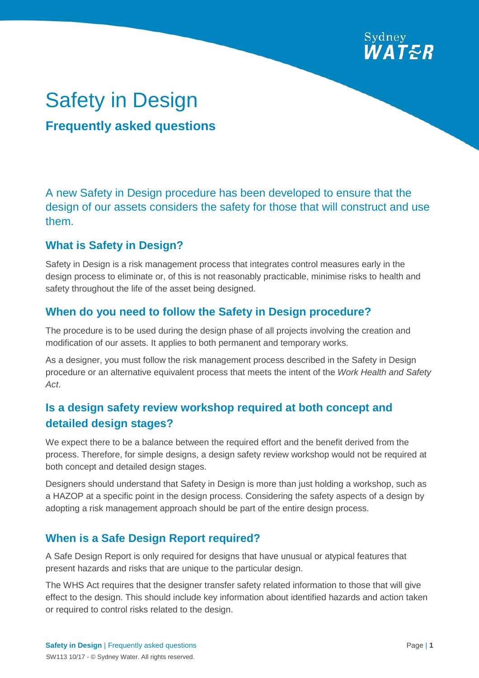

# Safety in Design

# **Frequently asked questions**

A new Safety in Design procedure has been developed to ensure that the design of our assets considers the safety for those that will construct and use them.

#### **What is Safety in Design?**

Safety in Design is a risk management process that integrates control measures early in the design process to eliminate or, of this is not reasonably practicable, minimise risks to health and safety throughout the life of the asset being designed.

## **When do you need to follow the Safety in Design procedure?**

The procedure is to be used during the design phase of all projects involving the creation and modification of our assets. It applies to both permanent and temporary works.

As a designer, you must follow the risk management process described in the Safety in Design procedure or an alternative equivalent process that meets the intent of the *Work Health and Safety Act*.

# **Is a design safety review workshop required at both concept and detailed design stages?**

We expect there to be a balance between the required effort and the benefit derived from the process. Therefore, for simple designs, a design safety review workshop would not be required at both concept and detailed design stages.

Designers should understand that Safety in Design is more than just holding a workshop, such as a HAZOP at a specific point in the design process. Considering the safety aspects of a design by adopting a risk management approach should be part of the entire design process.

## **When is a Safe Design Report required?**

A Safe Design Report is only required for designs that have unusual or atypical features that present hazards and risks that are unique to the particular design.

The WHS Act requires that the designer transfer safety related information to those that will give effect to the design. This should include key information about identified hazards and action taken or required to control risks related to the design.